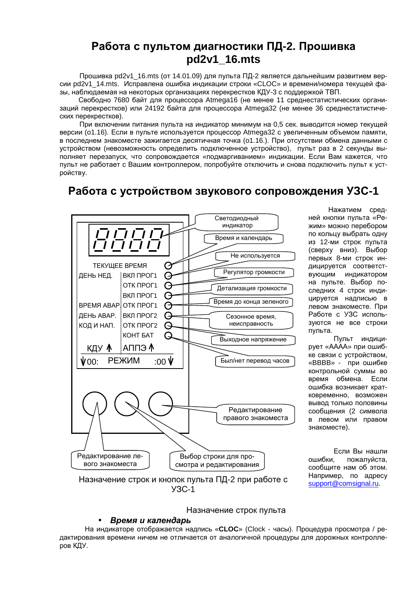## Работа с пультом диагностики ПД-2. Прошивка pd2v1\_16.mts

Прошивка pd2v1 16.mts (от 14.01.09) для пульта ПД-2 является дальнейшим развитием версии pd2v1 14.mts. Исправлена ошибка индикации строки «CLOC» и времени/номера текущей фазы, наблюдаемая на некоторых организациях перекрестков КДУ-3 с поддержкой ТВП.

Свободно 7680 байт для процессора Atmega16 (не менее 11 среднестатистических организаций перекрестков) или 24192 байта для процессора Atmega32 (не менее 36 среднестатистических перекрестков).

При включении питания пульта на индикатор минимум на 0,5 сек. выводится номер текущей версии (о1.16). Если в пульте используется процессор Atmega32 с увеличенным объемом памяти, в последнем знакоместе зажигается десятичная точка (о1.16.). При отсутствии обмена данными с устройством (невозможность определить подключенное устройство), пульт раз в 2 секунды выполняет перезапуск, что сопровождается «подмаргиванием» индикации. Если Вам кажется, что пульт не работает с Вашим контроллером, попробуйте отключить и снова подключить пульт к устройству.

## Работа с устройством звукового сопровождения УЗС-1



Нажатием средней кнопки пульта «Режим» можно перебором по кольцу выбрать одну из 12-ми строк пульта (сверху вниз). Выбор первых 8-ми строк индицируется соответствующим индикатором на пульте. Выбор последних 4 строк индицируется надписью в левом знакоместе. При Работе с УЗС используются не все строки пульта.

Пульт индицирует «АААА» при ошибке связи с устройством, «ВВВВ» - при ошибке контрольной суммы во время обмена. Если ошибка возникает кратковременно, возможен ВЫВОД ТОЛЬКО ПОЛОВИНЫ сообщения (2 символа в левом или правом знакоместе).

Если Вы нашли ошибки, пожалуйста, сообщите нам об этом. Например, по адресу support@comsignal.ru.

### Назначение строк пульта

### Время и календарь

На индикаторе отображается надпись «CLOC» (Clock - часы). Процедура просмотра / редактирования времени ничем не отличается от аналогичной процедуры для дорожных контроллеров КДУ.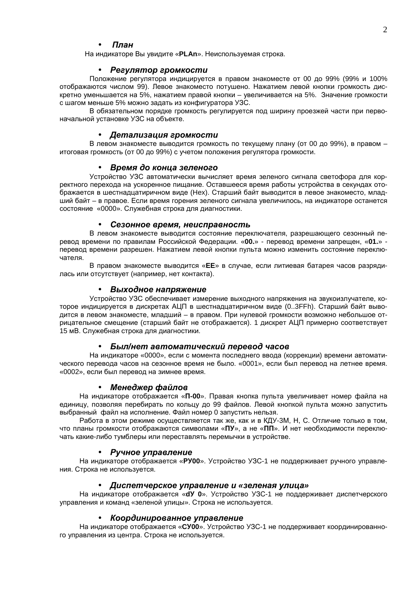#### Ппан

На индикаторе Вы увидите «PLAn». Неиспользуемая строка.

#### $\bullet$ Регулятор громкости

Положение регулятора индицируется в правом знакоместе от 00 до 99% (99% и 100% отображаются числом 99). Левое знакоместо потушено. Нажатием левой кнопки громкость дискретно уменьшается на 5%, нажатием правой кнопки – увеличивается на 5%. Значение громкости с шагом меньше 5% можно задать из конфигуратора УЗС.

В обязательном порядке громкость регулируется под ширину проезжей части при первоначальной установке УЗС на объекте.

#### • Детализация громкости

В левом знакоместе выводится громкость по текущему плану (от 00 до 99%), в правом итоговая громкость (от 00 до 99%) с учетом положения регулятора громкости.

### • Время до конца зеленого

Устройство УЗС автоматически вычисляет время зеленого сигнала светофора для корректного перехода на ускоренное пищание. Оставшееся время работы устройства в секундах отображается в шестнадцатиричном виде (Hex). Старший байт выводится в левое знакоместо, младший байт - в правое. Если время горения зеленого сигнала увеличилось, на индикаторе останется состояние «0000». Служебная строка для диагностики.

#### Сезонное время, неисправность

В левом знакоместе выводится состояние переключателя, разрешающего сезонный перевод времени по правилам Российской Федерации. «00.» - перевод времени запрещен, «01.» перевод времени разрешен. Нажатием левой кнопки пульта можно изменить состояние переключателя.

В правом знакоместе выводится «ЕЕ» в случае, если литиевая батарея часов разрядилась или отсутствует (например, нет контакта).

### • Выходное напряжение

Устройство УЗС обеспечивает измерение выходного напряжения на звукоизлучателе, которое индицируется в дискретах АЦП в шестнадцатиричном виде (0..3FFh). Старший байт выводится в левом знакоместе, младший - в правом. При нулевой громкости возможно небольшое отрицательное смещение (старший байт не отображается). 1 дискрет АЦП примерно соответствует 15 мВ. Служебная строка для диагностики.

#### Был/нет автоматический перевод часов

На индикаторе «0000», если с момента последнего ввода (коррекции) времени автоматического перевода часов на сезонное время не было. «0001», если был перевод на летнее время. «0002», если был перевод на зимнее время.

#### • Менеджер файлов

На индикаторе отображается «П-00». Правая кнопка пульта увеличивает номер файла на единицу, позволяя перебирать по кольцу до 99 файлов. Левой кнопкой пульта можно запустить выбранный файл на исполнение. Файл номер 0 запустить нельзя.

Работа в этом режиме осуществляется так же, как и в КДУ-ЗМ, Н, С. Отличие только в том, что планы громкости отображаются символами «ПУ», а не «ПП». И нет необходимости переключать какие-либо тумблеры или переставлять перемычки в устройстве.

#### Ручное управление  $\bullet$

На индикаторе отображается «РУ00». Устройство УЗС-1 не поддерживает ручного управления. Строка не используется.

#### • Диспетчерское управление и «зеленая улица»

На индикаторе отображается «dy 0». Устройство УЗС-1 не поддерживает диспетчерского управления и команд «зеленой улицы». Строка не используется.

#### • Координированное управление

На индикаторе отображается «СУ00». Устройство УЗС-1 не поддерживает координированного управления из центра. Строка не используется.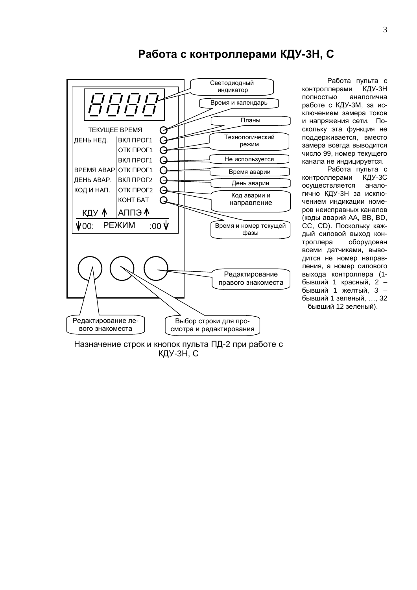

## Работа с контроллерами КДУ-3Н, С

Работа пульта с КДУ-3Н контроллерами полностью аналогична работе с КДУ-3М, за исключением замера токов и напряжения сети. Поскольку эта функция не поддерживается, вместо замера всегда выводится число 99, номер текущего канала не индицируется.

Работа пульта с контроллерами КДУ-3С осуществляется аналогично КДУ-3Н за исключением индикации номеров неисправных каналов (коды аварий AA, BB, BD, СС, CD). Поскольку каждый силовой выход контроллера оборудован всеми датчиками, выводится не номер направления, а номер силового выхода контроллера (1бывший 1 красный, 2 бывший 1 желтый, 3 бывший 1 зеленый, ..., 32 - бывший 12 зеленый).

Назначение строк и кнопок пульта ПД-2 при работе с КДУ-ЗН, С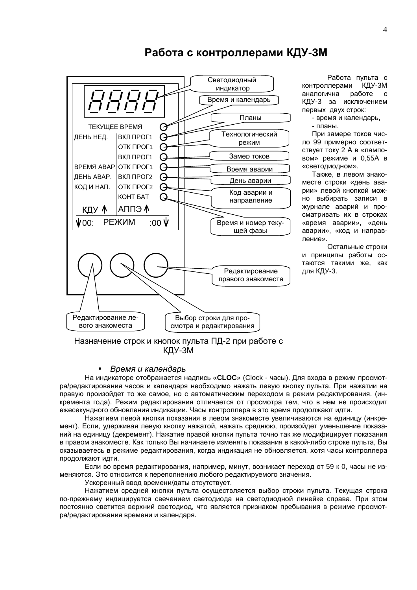

## Работа с контроллерами КДУ-3М

Работа пульта с контроллерами КДУ-3М аналогична работе  $\mathbf{c}$ КДУ-3 за исключением первых двух строк:

- время и календарь,

- планы.

При замере токов число 99 примерно соответствует току 2 А в «ламповом» режиме и 0,55А в «светодиодном».

Также, в левом знакоместе строки «день аварии» левой кнопкой можно выбирать записи в журнале аварий и просматривать их в строках «время аварии», «день аварии», «код и направление».

Остальные строки и принципы работы остаются такими же, как для КДУ-3.

### Назначение строк и кнопок пульта ПД-2 при работе с КДУ-ЗМ

#### Время и календарь

На индикаторе отображается надпись «CLOC» (Clock - часы). Для входа в режим просмотра/редактирования часов и календаря необходимо нажать левую кнопку пульта. При нажатии на правую произойдет то же самое, но с автоматическим переходом в режим редактирования. (инкремента года). Режим редактирования отличается от просмотра тем, что в нем не происходит ежесекундного обновления индикации. Часы контроллера в это время продолжают идти.

Нажатием левой кнопки показания в левом знакоместе увеличиваются на единицу (инкремент). Если, удерживая левую кнопку нажатой, нажать среднюю, произойдет уменьшение показаний на единицу (декремент). Нажатие правой кнопки пульта точно так же модифицирует показания в правом знакоместе. Как только Вы начинаете изменять показания в какой-либо строке пульта, Вы оказываетесь в режиме редактирования, когда индикация не обновляется, хотя часы контроллера продолжают идти.

Если во время редактирования, например, минут, возникает переход от 59 к 0, часы не изменяются. Это относится к переполнению любого редактируемого значения.

Ускоренный ввод времени/даты отсутствует.

Нажатием средней кнопки пульта осуществляется выбор строки пульта. Текущая строка по-прежнему индицируется свечением светодиода на светодиодной линейке справа. При этом постоянно светится верхний светодиод, что является признаком пребывания в режиме просмотра/редактирования времени и календаря.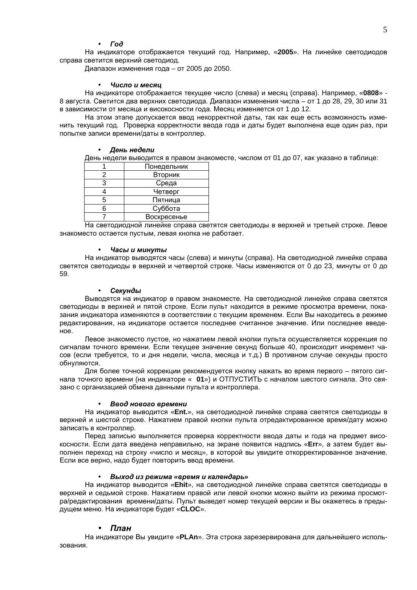#### **Fod**  $\bullet$

На индикаторе отображается текущий год. Например, «2005». На линейке светодиодов справа светится верхний светодиод.

Диапазон изменения года - от 2005 до 2050.

#### Число и месяи  $\bullet$

На индикаторе отображается текущее число (слева) и месяц (справа). Например, «0808» -8 августа. Светится два верхних светодиода. Диапазон изменения числа - от 1 до 28, 29, 30 или 31 в зависимости от месяца и високосности года. Месяц изменяется от 1 до 12.

На этом этапе допускается ввод некорректной даты, так как еще есть возможность изменить текущий год. Проверка корректности ввода года и даты будет выполнена еще один раз, при попытке записи времени/даты в контроллер.

#### • День недели

День недели выводится в правом знакоместе, числом от 01 до 07, как указано в таблице:

|     | Понедельник |
|-----|-------------|
|     | Вторник     |
| з   | Среда       |
|     | Четверг     |
| 5   | Пятница     |
| ี่ค | Суббота     |
|     | Воскресенье |

На светодиодной линейке справа светятся светодиоды в верхней и третьей строке. Левое знакоместо остается пустым, левая кнопка не работает.

#### Часы и минуты

На индикатор выводятся часы (слева) и минуты (справа). На светодиодной линейке справа светятся светодиоды в верхней и четвертой строке. Часы изменяются от 0 до 23, минуты от 0 до 59

#### Секунды  $\bullet$

Выводятся на индикатор в правом знакоместе. На светодиодной линейке справа светятся светодиоды в верхней и пятой строке. Если пульт находится в режиме просмотра времени, показания индикатора изменяются в соответствии с текущим временем. Если Вы находитесь в режиме редактирования, на индикаторе остается последнее считанное значение. Или последнее введеное.

Левое знакоместо пустое, но нажатием левой кнопки пульта осуществляется коррекция по сигналам точного времени. Если текущее значение секунд больше 40, происходит инкремент часов (если требуется, то и дня недели, числа, месяца и т.д.) В противном случае секунды просто обнуляются.

Для более точной коррекции рекомендуется кнопку нажать во время первого - пятого сигнала точного времени (на индикаторе « 01») и ОТПУСТИТЬ с началом шестого сигнала. Это связано с организацией обмена данными пульта и контроллера.

#### Ввод нового времени

На индикатор выводится «Ent.», на светодиодной линейке справа светятся светодиоды в верхней и шестой строке. Нажатием правой кнопки пульта отредактированное время/дату можно записать в контроллер.

Перед записью выполняется проверка корректности ввода даты и года на предмет високосности. Если дата введена неправильно, на экране появится надпись «Err», а затем будет выполнен переход на строку «число и месяц», в которой вы увидите откорректированное значение. Если все верно, надо будет повторить ввод времени.

#### Выход из режима «время и календарь»  $\bullet$

На индикатор выводится «Ehit», на светодиодной линейке справа светятся светодиоды в верхней и седьмой строке. Нажатием правой или левой кнопки можно выйти из режима просмотра/редактирования времени/даты. Пульт выведет номер текущей версии и Вы окажетесь в предыдущем меню. На индикаторе будет «CLOC».

#### План

На индикаторе Вы увидите «PLAn». Эта строка зарезервирована для дальнейшего использования.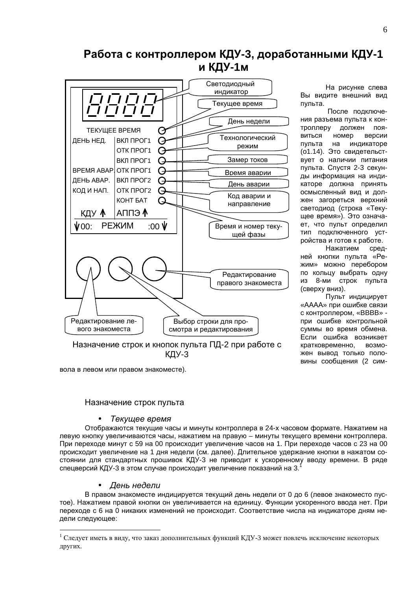## Работа с контроллером КДУ-3, доработанными КДУ-1 и КДУ-1м



На рисунке слева Вы видите внешний вид пульта.

После подключения разъема пульта к контроллеру должен появиться номер версии пульта на индикаторе (о1.14). Это свидетельствует о наличии питания пульта. Спустя 2-3 секунды информация на индикаторе должна принять осмысленный вид и должен загореться верхний светодиод (строка «Текущее время»). Это означает, что пульт определил тип подключенного устройства и готов к работе.

Нажатием средней кнопки пульта «Режим» можно перебором по кольцу выбрать одну из 8-ми строк пульта (сверху вниз).

Пульт индицирует «АААА» при ошибке связи с контроллером. «ВВВВ» при ошибке контрольной суммы во время обмена. Если ошибка возникает кратковременно, возможен вывод только половины сообщения (2 сим-

вола в левом или правом знакоместе).

### Назначение строк пульта

### Текущее время

Отображаются текущие часы и минуты контроллера в 24-х часовом формате. Нажатием на левую кнопку увеличиваются часы, нажатием на правую - минуты текущего времени контроллера. При переходе минут с 59 на 00 происходит увеличение часов на 1. При переходе часов с 23 на 00 происходит увеличение на 1 дня недели (см. далее). Длительное удержание кнопки в нажатом состоянии для стандартных прошивок КДУ-3 не приводит к ускоренному вводу времени. В ряде спецверсий КДУ-3 в этом случае происходит увеличение показаний на 3.

### • День недели

В правом знакоместе индицируется текущий день недели от 0 до 6 (левое знакоместо пустое). Нажатием правой кнопки он увеличивается на единицу. Функции ускоренного ввода нет. При переходе с 6 на 0 никаких изменений не происходит. Соответствие числа на индикаторе дням недели следующее:

Следует иметь в виду, что заказ дополнительных функций КДУ-3 может повлечь исключение некоторых других.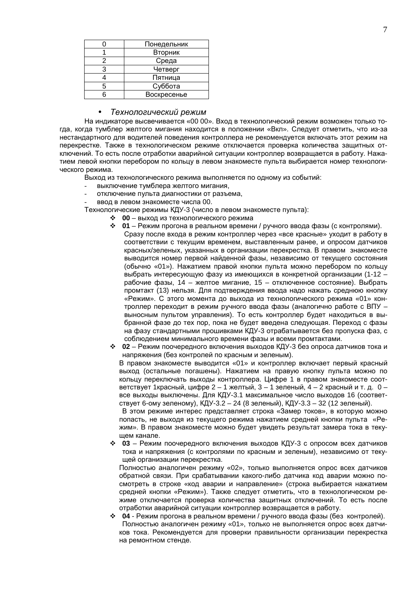|   | Понедельник |
|---|-------------|
|   | Вторник     |
| 2 | Среда       |
| з | Четверг     |
|   | Пятница     |
| 5 | Суббота     |
|   | Воскресенье |

#### $\bullet$ Технологический режим

На индикаторе высвечивается «00 00». Вход в технологический режим возможен только тогда, когда тумблер желтого мигания находится в положении «Вкл». Следует отметить, что из-за нестандартного для водителей поведения контроллера не рекомендуется включать этот режим на перекрестке. Также в технологическом режиме отключается проверка количества защитных отключений. То есть после отработки аварийной ситуации контроллер возвращается в работу. Нажатием левой кнопки перебором по кольцу в левом знакоместе пульта выбирается номер технологического режима.

Выход из технологического режима выполняется по одному из событий:

- выключение тумблера желтого мигания,
- отключение пульта диагностики от разъема,
- ввод в левом знакоместе числа 00.

Технологические режимы КДУ-3 (число в левом знакоместе пульта):

- 00 выход из технологического режима
- ◆ 01 Режим прогона в реальном времени / ручного ввода фазы (с контролями).
	- Сразу после входа в режим контроллер через «все красные» уходит в работу в соответствии с текущим временем, выставленным ранее, и опросом датчиков красных/зеленых, указанных в организации перекрестка. В правом знакоместе выводится номер первой найденной фазы, независимо от текущего состояния (обычно «01»). Нажатием правой кнопки пульта можно перебором по кольцу выбрать интересующую фазу из имеющихся в конкретной организации (1-12 рабочие фазы, 14 - желтое мигание, 15 - отключенное состояние). Выбрать промтакт (13) нельзя. Для подтверждения ввода надо нажать среднюю кнопку «Режим». С этого момента до выхода из технологического режима «01» контроллер переходит в режим ручного ввода фазы (аналогично работе с ВПУ выносным пультом управления). То есть контроллер будет находиться в выбранной фазе до тех пор, пока не будет введена следующая. Переход с фазы на фазу стандартными прошивками КДУ-3 отрабатывается без пропуска фаз, с соблюдением минимального времени фазы и всеми промтактами.
- $\div$  02 Режим поочередного включения выходов КДУ-3 без опроса датчиков тока и напряжения (без контролей по красным и зеленым).

В правом знакоместе выводится «01» и контроллер включает первый красный выход (остальные погашены). Нажатием на правую кнопку пульта можно по кольцу переключать выходы контроллера. Цифре 1 в правом знакоместе соответствует 1 красный, цифре 2 - 1 желтый, 3 - 1 зеленый, 4 - 2 красный и т. д. 0 все выходы выключены. Для КДУ-3.1 максимальное число выходов 16 (соответствует 6-ому зеленому), КДУ-3.2 - 24 (8 зеленый), КДУ-3.3 - 32 (12 зеленый).

В этом режиме интерес представляет строка «Замер токов», в которую можно попасть, не выходя из текущего режима нажатием средней кнопки пульта «Режим». В правом знакоместе можно будет увидеть результат замера тока в текущем канале.

• 03 - Режим поочередного включения выходов КДУ-3 с опросом всех датчиков тока и напряжения (с контролями по красным и зеленым), независимо от текущей организации перекрестка.

Полностью аналогичен режиму «02», только выполняется опрос всех датчиков обратной связи. При срабатывании какого-либо датчика код аварии можно посмотреть в строке «код аварии и направление» (строка выбирается нажатием средней кнопки «Режим»). Также следует отметить, что в технологическом режиме отключается проверка количества защитных отключений. То есть после отработки аварийной ситуации контроллер возвращается в работу.

 $\div$  04 - Режим прогона в реальном времени / ручного ввода фазы (без контролей). Полностью аналогичен режиму «01», только не выполняется опрос всех датчиков тока. Рекомендуется для проверки правильности организации перекрестка на ремонтном стенде.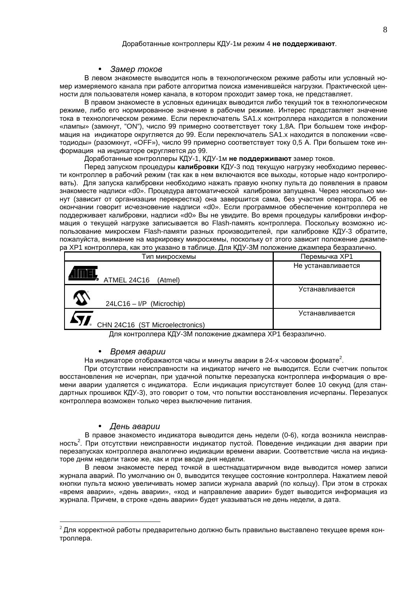#### Замер токов

В левом знакоместе выводится ноль в технологическом режиме работы или условный номер измеряемого канала при работе алгоритма поиска изменившейся нагрузки. Практической ценности для пользователя номер канала, в котором проходит замер тока, не представляет.

В правом знакоместе в условных единицах выводится либо текущий ток в технологическом режиме, либо его нормированное значение в рабочем режиме. Интерес представляет значение .<br>тока в технологическом режиме. Если переключатель SA1.х контроллера находится в положении «лампы» (замкнут, "ON"), число 99 примерно соответствует току 1,8А. При большем токе информация на индикаторе округляется до 99. Если переключатель SA1. х находится в положении «светодиоды» (разомкнут, «ОFF»), число 99 примерно соответствует току 0,5 А. При большем токе информация на индикаторе округляется до 99.

### Доработанные контроллеры КДУ-1, КДУ-1м не поддерживают замер токов.

Перед запуском процедуры калибровки КДУ-3 под текущую нагрузку необходимо перевести контроллер в рабочий режим (так как в нем включаются все выходы, которые надо контролировать). Для запуска калибровки необходимо нажать правую кнопку пульта до появления в правом знакоместе надписи «d0». Процедура автоматической калибровки запущена. Через несколько минут (зависит от организации перекрестка) она завершится сама. без участия оператора. Об ее окончании говорит исчезновение надписи «d0». Если программное обеспечение контроллера не поддерживает калибровки, надписи «d0» Вы не увидите. Во время процедуры калибровки информация о текущей нагрузке записывается во Flash-память контроллера. Поскольку возможно использование микросхем Flash-памяти разных производителей, при калибровке КДУ-3 обратите, пожалуйста, внимание на маркировку микросхемы, поскольку от этого зависит положение джампера ХР1 контроллера, как это указано в таблице. Для КДУ-3М положение джампера безразлично.

| Тип микросхемы                  | Перемычка ХР1      |
|---------------------------------|--------------------|
|                                 | Не устанавливается |
| ATMEL 24C16<br>(Atmel)          |                    |
|                                 | Устанавливается    |
| 24LC16 - I/P (Microchip)        |                    |
|                                 | Устанавливается    |
| CHN 24C16 (ST Microelectronics) |                    |

Для контроллера КДУ-3М положение джампера ХР1 безразлично.

#### • Время аварии

На индикаторе отображаются часы и минуты аварии в 24-х часовом формате<sup>2</sup>.

При отсутствии неисправности на индикатор ничего не выводится. Если счетчик попыток восстановления не исчерпан, при удачной попытке перезапуска контроллера информация о времени аварии удаляется с индикатора. Если индикация присутствует более 10 секунд (для стандартных прошивок КДУ-3), это говорит о том, что попытки восстановления исчерпаны. Перезапуск контроллера возможен только через выключение питания.

#### День аварии

В правое знакоместо индикатора выводится день недели (0-6), когда возникла неисправность<sup>2</sup>. При отсутствии неисправности индикатор пустой. Поведение индикации дня аварии при перезапусках контроллера аналогично индикации времени аварии. Соответствие числа на индикаторе дням недели такое же, как и при вводе дня недели.

В левом знакоместе перед точкой в шестнадцатиричном виде выводится номер записи журнала аварий. По умолчанию он 0, выводится текущее состояние контроллера. Нажатием левой кнопки пульта можно увеличивать номер записи журнала аварий (по кольцу). При этом в строках «время аварии». «день аварии», «код и направление аварии» будет выводится информация из журнала. Причем, в строке «день аварии» будет указываться не день недели, а дата.

 $^{2}$  Для корректной работы предварительно должно быть правильно выставлено текущее время контроллера.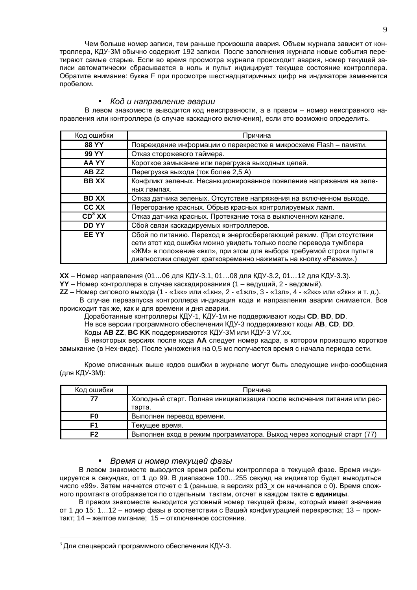Чем больше номер записи, тем раньше произошла авария. Объем журнала зависит от контроллера, КДУ-3М обычно содержит 192 записи. После заполнения журнала новые события перетирают самые старые. Если во время просмотра журнала происходит авария, номер текущей записи автоматически сбрасывается в ноль и пульт индицирует текущее состояние контроллера. Обратите внимание: буква F при просмотре шестнадцатиричных цифр на индикаторе заменяется пробелом.

### Код и направление аварии

В левом знакоместе выводится код неисправности, а в правом - номер неисправного направления или контроллера (в случае каскадного включения), если это возможно определить.

| Код ошибки         | Причина                                                                                                                                                                                                                                                                            |
|--------------------|------------------------------------------------------------------------------------------------------------------------------------------------------------------------------------------------------------------------------------------------------------------------------------|
| <b>88 YY</b>       | Повреждение информации о перекрестке в микросхеме Flash - памяти.                                                                                                                                                                                                                  |
| <b>99 YY</b>       | Отказ сторожевого таймера.                                                                                                                                                                                                                                                         |
| AA YY              | Короткое замыкание или перегрузка выходных цепей.                                                                                                                                                                                                                                  |
| AB ZZ              | Перегрузка выхода (ток более 2,5 A)                                                                                                                                                                                                                                                |
| <b>BBXX</b>        | Конфликт зеленых. Несанкционированное появление напряжения на зеле-                                                                                                                                                                                                                |
|                    | ных лампах.                                                                                                                                                                                                                                                                        |
| <b>BD XX</b>       | Отказ датчика зеленых. Отсутствие напряжения на включенном выходе.                                                                                                                                                                                                                 |
| <b>CC XX</b>       | Перегорание красных. Обрыв красных контролируемых ламп.                                                                                                                                                                                                                            |
| CD <sup>3</sup> XX | Отказ датчика красных. Протекание тока в выключенном канале.                                                                                                                                                                                                                       |
| <b>DDYY</b>        | Сбой связи каскадируемых контроллеров.                                                                                                                                                                                                                                             |
| <b>EEYY</b>        | Сбой по питанию. Переход в энергосберегающий режим. (При отсутствии<br>сети этот код ошибки можно увидеть только после перевода тумблера<br>«ЖМ» в положение «вкл», при этом для выбора требуемой строки пульта<br>диагностики следует кратковременно нажимать на кнопку «Режим».) |

ХХ - Номер направления (01...06 для КДУ-3.1, 01...08 для КДУ-3.2, 01...12 для КДУ-3.3).

YY - Номер контроллера в случае каскадированиия (1 - ведущий, 2 - ведомый).

ZZ - Номер силового выхода (1 - «1кк» или «1кн», 2 - «1жл», 3 - «1зл», 4 - «2кк» или «2кн» и т. д.).

В случае перезапуска контроллера индикация кода и направления аварии снимается. Все происходит так же, как и для времени и дня аварии.

Доработанные контроллеры КДУ-1, КДУ-1м не поддерживают коды СD, ВD, DD.

Не все версии программного обеспечения КДУ-3 поддерживают коды АВ, СD, DD.

Коды AB ZZ, BC KK поддерживаются КДУ-3М или КДУ-3 V7.xx.

В некоторых версиях после кода АА следует номер кадра, в котором произошло короткое замыкание (в Нех-виде). После умножения на 0,5 мс получается время с начала периода сети.

Кроме описанных выше кодов ошибки в журнале могут быть следующие инфо-сообщения (для КДУ-3М):

| Код ошибки | Причина                                                                         |
|------------|---------------------------------------------------------------------------------|
| 77         | Холодный старт. Полная инициализация после включения питания или рес-<br>тарта. |
| F0         | Выполнен перевод времени.                                                       |
| F1         | Текущее время.                                                                  |
| F2         | Выполнен вход в режим программатора. Выход через холодный старт (77)            |

#### Время и номер текущей фазы  $\bullet$

В левом знакоместе выводится время работы контроллера в текущей фазе. Время индицируется в секундах, от 1 до 99. В диапазоне 100...255 секунд на индикатор будет выводиться число «99». Затем начнется отсчет с 1 (раньше, в версиях pd3 х он начинался с 0). Время сложного промтакта отображается по отдельным тактам, отсчет в каждом такте с единицы.

В правом знакоместе выводится условный номер текущей фазы, который имеет значение от 1 до 15: 1...12 - номер фазы в соответствии с Вашей конфигурацией перекрестка; 13 - промтакт; 14 - желтое мигание; 15 - отключенное состояние.

 $3$  Для спецверсий программного обеспечения КДУ-3.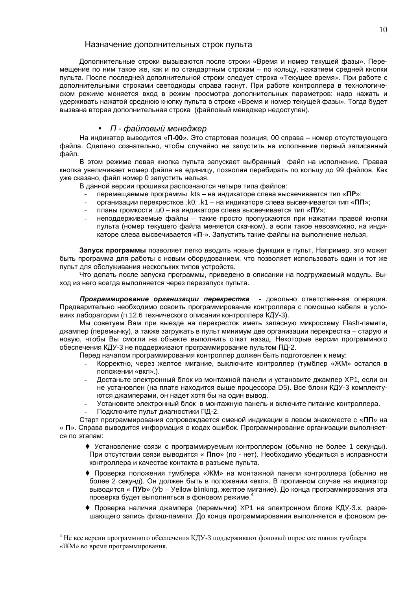### Назначение дополнительных строк пульта

Дополнительные строки вызываются после строки «Время и номер текущей фазы». Перемещение по ним такое же, как и по стандартным строкам - по кольцу, нажатием средней кнопки пульта. После последней дополнительной строки следует строка «Текущее время». При работе с дополнительными строками светодиоды справа гаснут. При работе контроллера в технологическом режиме меняется вход в режим просмотра дополнительных параметров: надо нажать и удерживать нажатой среднюю кнопку пульта в строке «Время и номер текущей фазы». Тогда будет вызвана вторая дополнительная строка (файловый менеджер недоступен).

### • П - файловый менеджер

На индикатор выводится «П-00». Это стартовая позиция, 00 справа – номер отсутствующего файла. Сделано сознательно, чтобы случайно не запустить на исполнение первый записанный файл.

В этом режиме левая кнопка пульта запускает выбранный файл на исполнение. Правая кнопка увеличивает номер файла на единицу, позволяя перебирать по кольцу до 99 файлов. Как уже сказано, файл номер 0 запустить нельзя.

В данной версии прошивки распознаются четыре типа файлов:

- перемещаемые программы .kts на индикаторе слева высвечивается тип «ПР»:
- организации перекрестков .k0, .k1 на индикаторе слева высвечивается тип «ПП»;
- планы громкости .u0 на индикаторе слева высвечивается тип «ПУ»;
- неподдерживаемые файлы такие просто пропускаются при нажатии правой кнопки пульта (номер текущего файла меняется скачком), а если такое невозможно, на индикаторе слева высвечивается «П-». Запустить такие файлы на выполнение нельзя.

Запуск программы позволяет легко вводить новые функции в пульт. Например, это может быть программа для работы с новым оборудованием, что позволяет использовать один и тот же пульт для обслуживания нескольких типов устройств.

Что делать после запуска программы, приведено в описании на подгружаемый модуль. Выход из него всегда выполняется через перезапуск пульта.

Программирование организации перекрестка - довольно ответственная операция. Предварительно необходимо освоить программирование контроллера с помощью кабеля в условиях лаборатории (п.12.6 технического описания контроллера КДУ-3).

Мы советуем Вам при выезде на перекресток иметь запасную микросхему Flash-памяти, джампер (перемычку), а также загружать в пульт минимум две организации перекрестка - старую и новую, чтобы Вы смогли на объекте выполнить откат назад. Некоторые версии программного обеспечения КДУ-3 не поддерживают программирование пультом ПД-2.

Перед началом программирования контроллер должен быть подготовлен к нему:

- Корректно, через желтое мигание, выключите контроллер (тумблер «ЖМ» остался в положении «вкл».).
- Достаньте электронный блок из монтажной панели и установите джампер ХР1, если он не установлен (на плате находится выше процессора D5). Все блоки КДУ-3 комплектуются джамперами, он надет хотя бы на один вывод.
- Установите электронный блок в монтажную панель и включите питание контроллера.
- Подключите пульт диагностики ПД-2.

Старт программирования сопровождается сменой индикации в левом знакоместе с «ПП» на « П». Справа выводится информация о кодах ошибок. Программирование организации выполняется по этапам:

- Установление связи с программируемым контроллером (обычно не более 1 секунды). При отсутствии связи выводится « Ппо» (по - нет). Необходимо убедиться в исправности контроллера и качестве контакта в разъеме пульта.
- Проверка положения тумблера «ЖМ» на монтажной панели контроллера (обычно не более 2 секунд). Он должен быть в положении «вкл». В противном случае на индикатор выводится « ПУb» (Уb - Yellow blinking, желтое мигание). До конца программирования эта проверка будет выполняться в фоновом режиме.
- Проверка наличия джампера (перемычки) ХР1 на электронном блоке КДУ-3.х, разрешающего запись флэш-памяти. До конца программирования выполняется в фоновом ре-

 $4$  Не все версии программного обеспечения КДУ-3 поддерживают фоновый опрос состояния тумблера «ЖМ» во время программирования.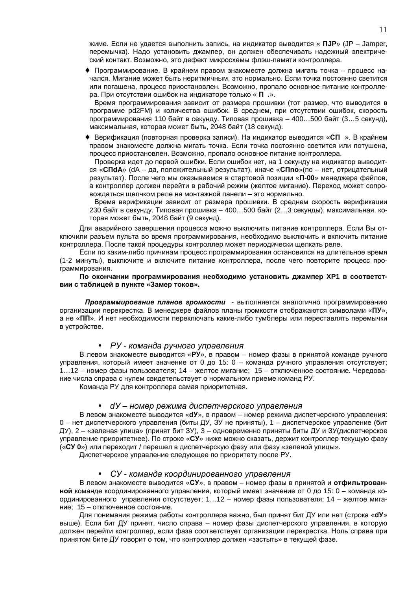жиме. Если не удается выполнить запись, на индикатор выводится « ПЈР» (JP - Jamper, перемычка). Надо установить джампер, он должен обеспечивать надежный электрический контакт. Возможно, это дефект микросхемы флэш-памяти контроллера.

• Программирование. В крайнем правом знакоместе должна мигать точка - процесс начался. Мигание может быть неритмичным, это нормально. Если точка постоянно светится или погашена, процесс приостановлен. Возможно, пропало основное питание контроллера. При отсутствии ошибок на индикаторе только « П .».

Время программирования зависит от размера прошивки (тот размер, что выводится в программе pd2FM) и количества ошибок. В среднем, при отсутствии ошибок, скорость программирования 110 байт в секунду. Типовая прошивка - 400...500 байт (3...5 секунд), максимальная, которая может быть, 2048 байт (18 секунд).

• Верификация (повторная проверка записи). На индикатор выводится «СП ». В крайнем правом знакоместе должна мигать точка. Если точка постоянно светится или потушена. процесс приостановлен. Возможно, пропало основное питание контроллера.

Проверка идет до первой ошибки. Если ошибок нет, на 1 секунду на индикатор выводится «СПdA» (dA - да, положительный результат), иначе «СПпо» (по - нет, отрицательный результат). После чего мы оказываемся в стартовой позиции «П-00» менеджера файлов, а контроллер должен перейти в рабочий режим (желтое мигание). Переход может сопровождаться щелчком реле на монтажной панели - это нормально.

Время верификации зависит от размера прошивки. В среднем скорость верификации 230 байт в секунду. Типовая прошивка - 400...500 байт (2...3 секунды), максимальная, которая может быть, 2048 байт (9 секунд).

Для аварийного завершения процесса можно выключить питание контроллера. Если Вы отключили разъем пульта во время программирования, необходимо выключить и включить питание контроллера. После такой процедуры контроллер может периодически щелкать реле.

Если по каким-либо причинам процесс программирования остановился на длительное время (1-2 минуты), выключите и включите питание контроллера, после чего повторите процесс программирования.

По окончании программирования необходимо установить джампер ХР1 в соответствии с таблицей в пункте «Замер токов».

Программирование планов громкости - выполняется аналогично программированию организации перекрестка. В менеджере файлов планы громкости отображаются символами «ПУ», а не «ПП». И нет необходимости переключать какие-либо тумблеры или переставлять перемычки в устройстве.

### • РУ-команда ручного управления

В левом знакоместе выводится «РУ», в правом - номер фазы в принятой команде ручного управления, который имеет значение от 0 до 15: 0 - команда ручного управления отсутствует; 1...12 - номер фазы пользователя; 14 - желтое мигание; 15 - отключенное состояние. Чередование числа справа с нулем свидетельствует о нормальном приеме команд РУ.

Команда РУ для контроллера самая приоритетная.

#### dУ – номер режима диспетчерского управления  $\bullet$

В левом знакоместе выводится «dy», в правом - номер режима диспетчерского управления:  $0$  – нет диспетчерского управления (биты ДУ, ЗУ не приняты). 1 – диспетчерское управление (бит ДУ), 2 - «зеленая улица» (принят бит ЗУ), 3 - одновременно приняты биты ДУ и ЗУ(диспетчерское управление приоритетнее). По строке «СУ» ниже можно сказать, держит контроллер текущую фазу («СУ 0») или переходит / перешел в диспетчерскую фазу или фазу «зеленой улицы».

Диспетчерское управление следующее по приоритету после РУ.

### • СУ-команда координированного управления

В левом знакоместе выводится «СУ», в правом - номер фазы в принятой и отфильтрованной команде координированного управления, который имеет значение от 0 до 15: 0 - команда координированного управления отсутствует; 1...12 - номер фазы пользователя; 14 - желтое мигание; 15 - отключенное состояние.

Для понимания режима работы контроллера важно, был принят бит ДУ или нет (строка «dy» выше). Если бит ДУ принят, число справа - номер фазы диспетчерского управления, в которую должен перейти контроллер, если фаза соответствует организации перекрестка. Ноль справа при принятом бите ДУ говорит о том, что контроллер должен «застыть» в текущей фазе.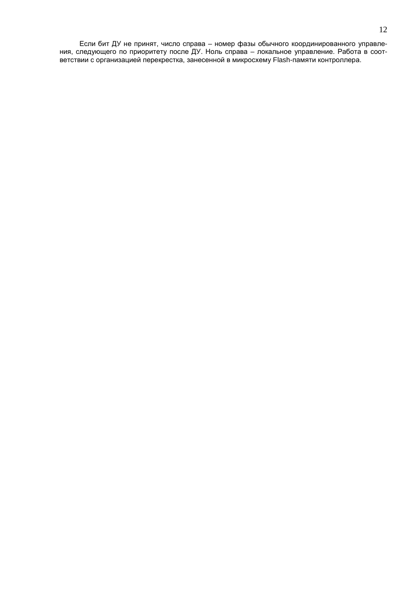Если бит ДУ не принят, число справа - номер фазы обычного координированного управления, следующего по приоритету после ДУ. Ноль справа - локальное управление. Работа в соответствии с организацией перекрестка, занесенной в микросхему Flash-памяти контроллера.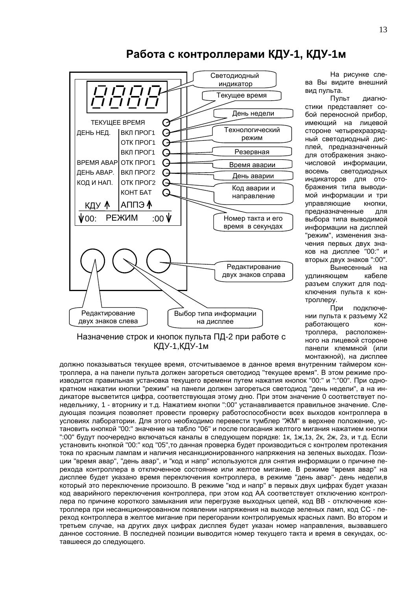

## Работа с контроллерами КДУ-1, КДУ-1м

На рисунке слева Вы видите внешний вид пульта.

Пульт диагностики представляет собой переносной прибор. имеющий на лицевой стороне четырехразрядный светодиодный дисплей, предназначенный для отображения знакочисловой информации, восемь **СВЕТОДИОДНЫХ** индикаторов для отображения типа выводимой информации и три управляющие кнопки, предназначенные для выбора типа выводимой информации на дисплей "режим", изменения значения первых двух знаков на дисплее "00:" и вторых двух знаков ":00".

Вынесенный на удлиняющем кабеле разъем служит для подключения пульта к контроллеру.

При подключении пульта к разъему Х2 работающего KOHтроллера, расположенного на лицевой стороне панели клеммной (или монтажной), на дисплее

Назначение строк и кнопок пульта ПД-2 при работе с КДУ-1, КДУ-1м

должно показываться текущее время, отсчитываемое в данное время внутренним таймером контроллера, а на панели пульта должен загореться светодиод "текущее время". В этом режиме производится правильная установка текущего времени путем нажатия кнопок "00:" и ":"00". При однократном нажатии кнопки "режим" на панели должен загореться светодиод "день недели", а на индикаторе высветится цифра, соответствующая этому дню. При этом значение 0 соответствует понедельнику, 1 - вторнику и т.д. Нажатием кнопки ":00" устанавливается правильное значение. Следующая позиция позволяет провести проверку работоспособности всех выходов контроллера в условиях лаборатории. Для этого необходимо перевести тумблер "ЖМ" в верхнее положение, установить кнопкой "00:" значение на табло "06" и после погасания желтого мигания нажатием кнопки ":00" будут поочередно включаться каналы в следующем порядке: 1к, 1ж, 1з, 2к, 2ж, 2з, и т.д. Если установить кнопкой "00:" код "05", то данная проверка будет производиться с контролем протекания тока по красным лампам и наличия несанкционированного напряжения на зеленых выходах. Позиции "время авар", "день авар", и "код и напр" используются для снятия информации о причине перехода контроллера в отключенное состояние или желтое мигание. В режиме "время авар" на дисплее будет указано время переключения контроллера, в режиме "день авар"- день недели,в который это переключение произошло. В режиме "код и напр" в первых двух цифрах будет указан код аварийного переключения контроллера, при этом код АА соответствует отключению контроллера по причине короткого замыкания или перегрузке выходных цепей, код ВВ - отключение контроллера при несанкционированном появлении напряжения на выходе зеленых ламп, код СС - переход контроллера в желтое мигание при перегорании контролируемых красных ламп. Во втором и третьем случае, на других двух цифрах дисплея будет указан номер направления, вызвавшего данное состояние. В последней позиции выводится номер текущего такта и время в секундах, оставшееся до следующего.